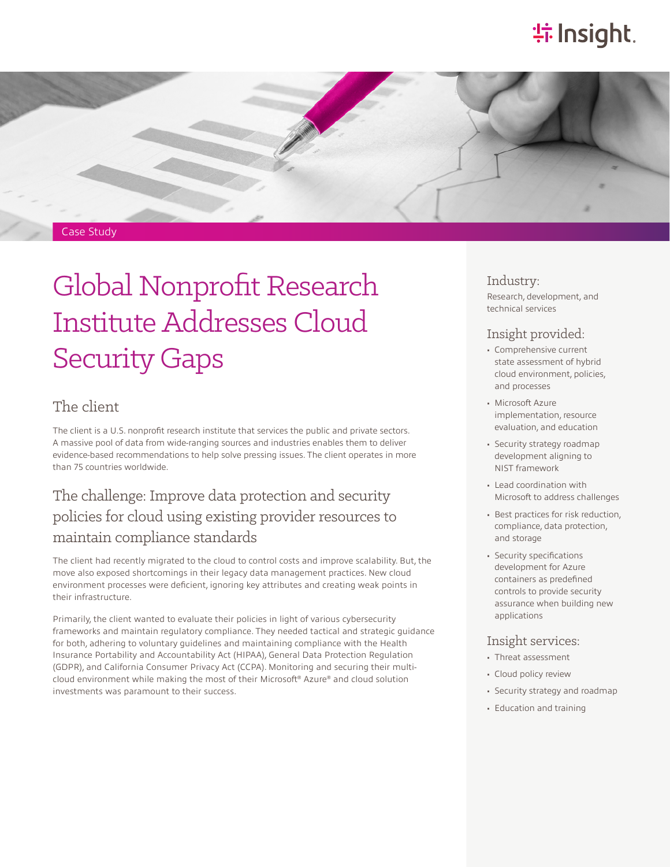# **特Insight**.



# Global Nonprofit Research Institute Addresses Cloud Security Gaps

#### The client

The client is a U.S. nonprofit research institute that services the public and private sectors. A massive pool of data from wide-ranging sources and industries enables them to deliver evidence-based recommendations to help solve pressing issues. The client operates in more than 75 countries worldwide.

## The challenge: Improve data protection and security policies for cloud using existing provider resources to maintain compliance standards

The client had recently migrated to the cloud to control costs and improve scalability. But, the move also exposed shortcomings in their legacy data management practices. New cloud environment processes were deficient, ignoring key attributes and creating weak points in their infrastructure.

Primarily, the client wanted to evaluate their policies in light of various cybersecurity frameworks and maintain regulatory compliance. They needed tactical and strategic guidance for both, adhering to voluntary guidelines and maintaining compliance with the Health Insurance Portability and Accountability Act (HIPAA), General Data Protection Regulation (GDPR), and California Consumer Privacy Act (CCPA). Monitoring and securing their multicloud environment while making the most of their Microsoft® Azure® and cloud solution investments was paramount to their success.

#### Industry:

Research, development, and technical services

#### Insight provided:

- Comprehensive current state assessment of hybrid cloud environment, policies, and processes
- Microsoft Azure implementation, resource evaluation, and education
- Security strategy roadmap development aligning to NIST framework
- Lead coordination with Microsoft to address challenges
- Best practices for risk reduction, compliance, data protection, and storage
- Security specifications development for Azure containers as predefined controls to provide security assurance when building new applications

#### Insight services:

- Threat assessment
- Cloud policy review
- Security strategy and roadmap
- Education and training